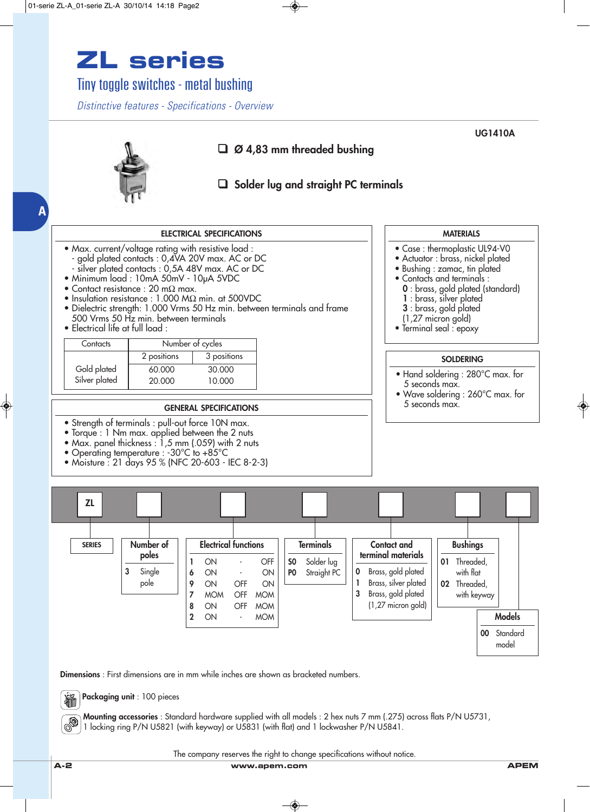## **ZL series**

Tiny toggle switches - metal bushing

*Distinctive features - Specifications - Overview*



**Dimensions** : First dimensions are in mm while inches are shown as bracketed numbers.

**Packaging unit** : 100 pieces 输

**Mounting accessories** : Standard hardware supplied with all models : 2 hex nuts 7 mm (.275) across flats P/N U5731, 1 locking ring P/N U5821 (with keyway) or U5831 (with flat) and 1 lockwasher P/N U5841.

The company reserves the right to change specifications without notice.

**A-2 www.apem.com APEM**